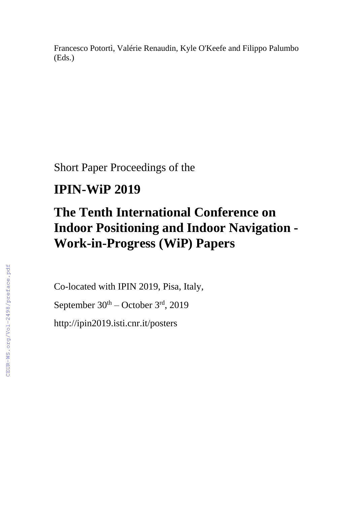Francesco Potortì, Valérie Renaudin, Kyle O'Keefe and Filippo Palumbo (Eds.)

Short Paper Proceedings of the

## **IPIN-WiP 2019**

# **The Tenth International Conference on Indoor Positioning and Indoor Navigation - Work-in-Progress (WiP) Papers**

Co-located with IPIN 2019, Pisa, Italy,

September  $30<sup>th</sup>$  – October  $3<sup>rd</sup>$ , 2019

http://ipin2019.isti.cnr.it/posters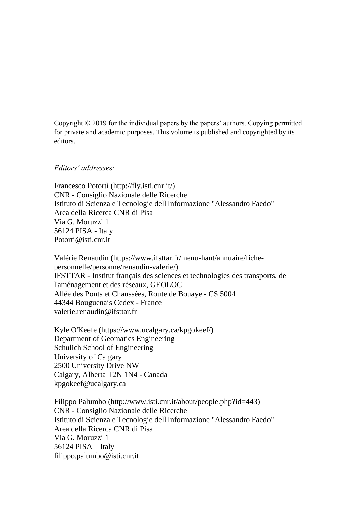Copyright © 2019 for the individual papers by the papers' authors. Copying permitted for private and academic purposes. This volume is published and copyrighted by its editors.

#### *Editors' addresses:*

Francesco Potortì (http://fly.isti.cnr.it/) CNR - Consiglio Nazionale delle Ricerche Istituto di Scienza e Tecnologie dell'Informazione "Alessandro Faedo" Area della Ricerca CNR di Pisa Via G. Moruzzi 1 56124 PISA - Italy Potorti@isti.cnr.it

Valérie Renaudin (https://www.ifsttar.fr/menu-haut/annuaire/fichepersonnelle/personne/renaudin-valerie/) IFSTTAR - Institut français des sciences et technologies des transports, de l'aménagement et des réseaux, GEOLOC Allée des Ponts et Chaussées, Route de Bouaye - CS 5004 44344 Bouguenais Cedex - France valerie.renaudin@ifsttar.fr

Kyle O'Keefe (https://www.ucalgary.ca/kpgokeef/) Department of Geomatics Engineering Schulich School of Engineering University of Calgary 2500 University Drive NW Calgary, Alberta T2N 1N4 - Canada kpgokeef@ucalgary.ca

Filippo Palumbo (http://www.isti.cnr.it/about/people.php?id=443) CNR - Consiglio Nazionale delle Ricerche Istituto di Scienza e Tecnologie dell'Informazione "Alessandro Faedo" Area della Ricerca CNR di Pisa Via G. Moruzzi 1 56124 PISA – Italy filippo.palumbo@isti.cnr.it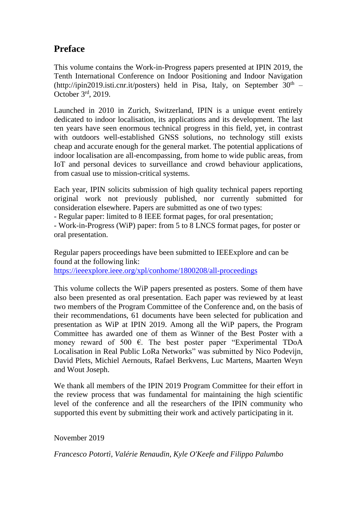### **Preface**

This volume contains the Work-in-Progress papers presented at IPIN 2019, the Tenth International Conference on Indoor Positioning and Indoor Navigation (http://ipin2019.isti.cnr.it/posters) held in Pisa, Italy, on September  $30<sup>th</sup>$  – October 3rd, 2019.

Launched in 2010 in Zurich, Switzerland, IPIN is a unique event entirely dedicated to indoor localisation, its applications and its development. The last ten years have seen enormous technical progress in this field, yet, in contrast with outdoors well-established GNSS solutions, no technology still exists cheap and accurate enough for the general market. The potential applications of indoor localisation are all-encompassing, from home to wide public areas, from IoT and personal devices to surveillance and crowd behaviour applications, from casual use to mission-critical systems.

Each year, IPIN solicits submission of high quality technical papers reporting original work not previously published, nor currently submitted for consideration elsewhere. Papers are submitted as one of two types:

- Regular paper: limited to 8 IEEE format pages, for oral presentation;

- Work-in-Progress (WiP) paper: from 5 to 8 LNCS format pages, for poster or oral presentation.

Regular papers proceedings have been submitted to IEEExplore and can be found at the following link: <https://ieeexplore.ieee.org/xpl/conhome/1800208/all-proceedings>

This volume collects the WiP papers presented as posters. Some of them have also been presented as oral presentation. Each paper was reviewed by at least two members of the Program Committee of the Conference and, on the basis of their recommendations, 61 documents have been selected for publication and presentation as WiP at IPIN 2019. Among all the WiP papers, the Program Committee has awarded one of them as Winner of the Best Poster with a money reward of 500  $\epsilon$ . The best poster paper "Experimental TDoA Localisation in Real Public LoRa Networks" was submitted by Nico Podevijn, David Plets, Michiel Aernouts, Rafael Berkvens, Luc Martens, Maarten Weyn and Wout Joseph.

We thank all members of the IPIN 2019 Program Committee for their effort in the review process that was fundamental for maintaining the high scientific level of the conference and all the researchers of the IPIN community who supported this event by submitting their work and actively participating in it.

November 2019

*Francesco Potortì, Valérie Renaudin, Kyle O'Keefe and Filippo Palumbo*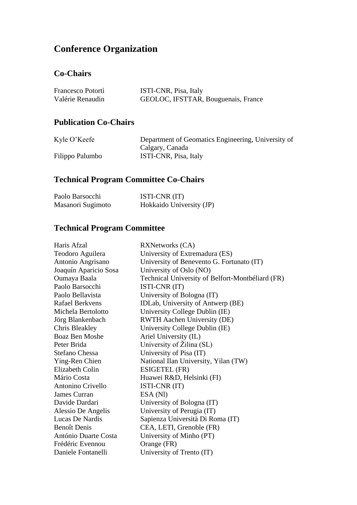## **Conference Organization**

#### **Co-Chairs**

| Francesco Potortì | ISTI-CNR, Pisa, Italy               |
|-------------------|-------------------------------------|
| Valérie Renaudin  | GEOLOC, IFSTTAR, Bouguenais, France |

#### **Publication Co-Chairs**

| Kyle O'Keefe    | Department of Geomatics Engineering, University of |
|-----------------|----------------------------------------------------|
|                 | Calgary, Canada                                    |
| Filippo Palumbo | ISTI-CNR, Pisa, Italy                              |

## **Technical Program Committee Co-Chairs**

| Paolo Barsocchi   | ISTI-CNR (IT)            |
|-------------------|--------------------------|
| Masanori Sugimoto | Hokkaido University (JP) |

### **Technical Program Committee**

| Haris Afzal            | <b>RXNetworks (CA)</b>                           |
|------------------------|--------------------------------------------------|
| Teodoro Aguilera       | University of Extremadura (ES)                   |
| Antonio Angrisano      | University of Benevento G. Fortunato (IT)        |
| Joaquín Aparicio Sosa  | University of Oslo (NO)                          |
| Oumaya Baala           | Technical University of Belfort-Montbéliard (FR) |
| Paolo Barsocchi        | ISTI-CNR (IT)                                    |
| Paolo Bellavista       | University of Bologna (IT)                       |
| <b>Rafael Berkvens</b> | IDLab, University of Antwerp (BE)                |
| Michela Bertolotto     | University College Dublin (IE)                   |
| Jörg Blankenbach       | <b>RWTH Aachen University (DE)</b>               |
| <b>Chris Bleakley</b>  | University College Dublin (IE)                   |
| <b>Boaz Ben Moshe</b>  | Ariel University (IL)                            |
| Peter Brida            | University of Žilina (SL)                        |
| Stefano Chessa         | University of Pisa (IT)                          |
| Ying-Ren Chien         | National Ilan University, Yilan (TW)             |
| <b>Elizabeth Colin</b> | ESIGETEL (FR)                                    |
| Mário Costa            | Huawei R&D, Helsinki (FI)                        |
| Antonino Crivello      | ISTI-CNR (IT)                                    |
| James Curran           | ESA (NI)                                         |
| Davide Dardari         | University of Bologna (IT)                       |
| Alessio De Angelis     | University of Perugia (IT)                       |
| Lucas De Nardis        | Sapienza Università Di Roma (IT)                 |
| <b>Benoît Denis</b>    | CEA, LETI, Grenoble (FR)                         |
| António Duarte Costa   | University of Minho (PT)                         |
| Frédéric Evennou       | Orange (FR)                                      |
| Daniele Fontanelli     | University of Trento (IT)                        |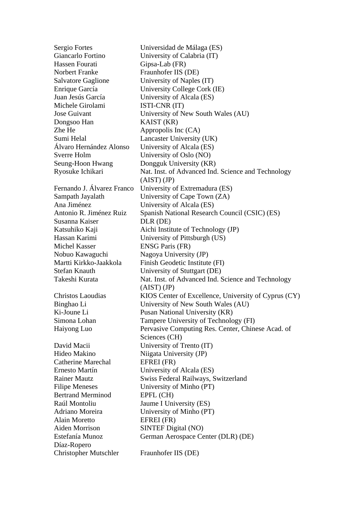Sergio Fortes Universidad de Málaga (ES) Giancarlo Fortino University of Calabria (IT) Hassen Fourati Gipsa-Lab (FR) Norbert Franke Fraunhofer IIS (DE) Salvatore Gaglione University of Naples (IT) Enrique García University College Cork (IE) Juan Jesús García University of Alcala (ES) Michele Girolami ISTI-CNR (IT) Jose Guivant University of New South Wales (AU) Dongsoo Han KAIST (KR) Zhe He Appropolis Inc (CA) Sumi Helal Lancaster University (UK) Álvaro Hernández Alonso University of Alcala (ES) Sverre Holm University of Oslo (NO) Seung-Hoon Hwang Dongguk University (KR) Ryosuke Ichikari Nat. Inst. of Advanced Ind. Science and Technology (AIST) (JP) Fernando J. Álvarez Franco University of Extremadura (ES) Sampath Jayalath University of Cape Town (ZA) Ana Jiménez University of Alcala (ES) Antonio R. Jiménez Ruiz Spanish National Research Council (CSIC) (ES) Susanna Kaiser DLR (DE) Katsuhiko Kaji  $\qquad \qquad$  Aichi Institute of Technology (JP) Hassan Karimi University of Pittsburgh (US) Michel Kasser ENSG Paris (FR) Nobuo Kawaguchi Nagoya University (JP) Martti Kirkko-Jaakkola Finish Geodetic Institute (FI) Stefan Knauth University of Stuttgart (DE) Takeshi Kurata Nat. Inst. of Advanced Ind. Science and Technology (AIST) (JP) Christos Laoudias KIOS Center of Excellence, University of Cyprus (CY) Binghao Li University of New South Wales (AU) Ki-Joune Li Pusan National University (KR) Simona Lohan Tampere University of Technology (FI) Haiyong Luo Pervasive Computing Res. Center, Chinese Acad. of Sciences (CH) David Macii University of Trento (IT) Hideo Makino Niigata University (JP) Catherine Marechal EFREI (FR) Ernesto Martín University of Alcala (ES) Rainer Mautz Swiss Federal Railways, Switzerland Filipe Meneses University of Minho (PT) Bertrand Merminod EPFL (CH) Raúl Montoliu Jaume I University (ES) Adriano Moreira University of Minho (PT) Alain Moretto EFREI (FR) Aiden Morrison SINTEF Digital (NO) Estefanía Munoz German Aerospace Center (DLR) (DE) Díaz-Ropero Christopher Mutschler Fraunhofer IIS (DE)